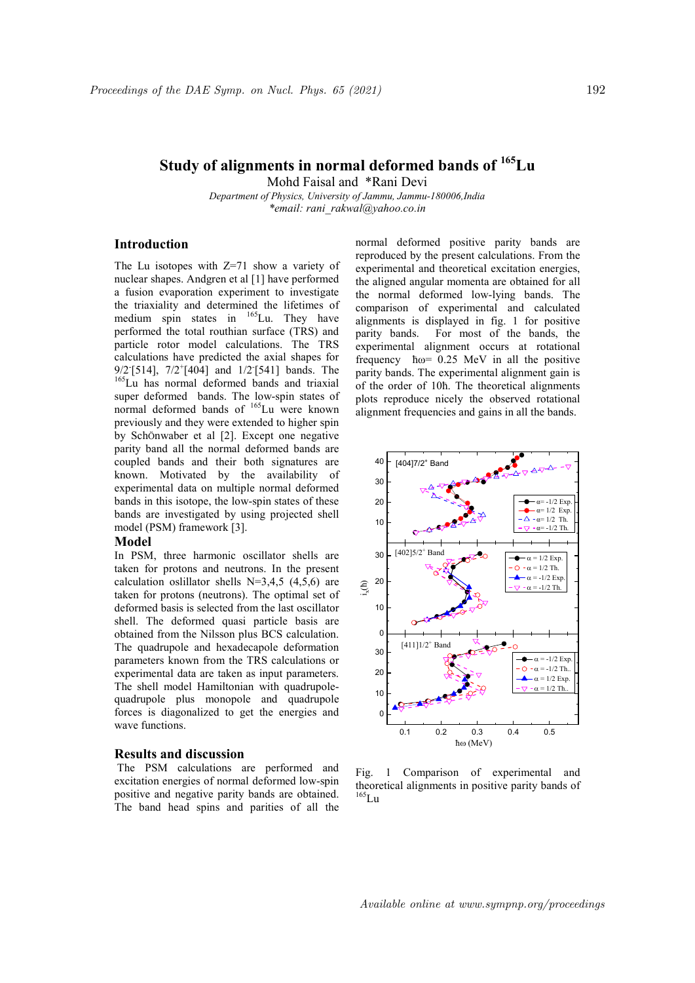Mohd Faisal and \*Rani Devi

Department of Physics, University of Jammu, Jammu-180006,India \*email: rani\_rakwal@yahoo.co.in

## Introduction

The Lu isotopes with  $Z=71$  show a variety of nuclear shapes. Andgren et al [1] have performed a fusion evaporation experiment to investigate the triaxiality and determined the lifetimes of medium spin states in <sup>165</sup>Lu. They have performed the total routhian surface (TRS) and particle rotor model calculations. The TRS calculations have predicted the axial shapes for  $9/2$ <sup>[</sup>[514],  $7/2$ <sup>+</sup>[404] and  $1/2$ <sup>[[541]</sup> bands. The <sup>165</sup>Lu has normal deformed bands and triaxial super deformed bands. The low-spin states of normal deformed bands of <sup>165</sup>Lu were known previously and they were extended to higher spin by SchÖnwaber et al [2]. Except one negative parity band all the normal deformed bands are coupled bands and their both signatures are known. Motivated by the availability of experimental data on multiple normal deformed bands in this isotope, the low-spin states of these bands are investigated by using projected shell model (PSM) framework [3].

#### Model

In PSM, three harmonic oscillator shells are taken for protons and neutrons. In the present calculation oslillator shells  $N=3,4,5$  (4,5,6) are taken for protons (neutrons). The optimal set of deformed basis is selected from the last oscillator shell. The deformed quasi particle basis are obtained from the Nilsson plus BCS calculation. The quadrupole and hexadecapole deformation parameters known from the TRS calculations or experimental data are taken as input parameters. The shell model Hamiltonian with quadrupolequadrupole plus monopole and quadrupole forces is diagonalized to get the energies and wave functions.

#### Results and discussion

 The PSM calculations are performed and excitation energies of normal deformed low-spin positive and negative parity bands are obtained. The band head spins and parities of all the

normal deformed positive parity bands are reproduced by the present calculations. From the experimental and theoretical excitation energies, the aligned angular momenta are obtained for all the normal deformed low-lying bands. The comparison of experimental and calculated alignments is displayed in fig. 1 for positive parity bands. For most of the bands, the experimental alignment occurs at rotational frequency ћω= 0.25 MeV in all the positive parity bands. The experimental alignment gain is of the order of 10ћ. The theoretical alignments plots reproduce nicely the observed rotational alignment frequencies and gains in all the bands.



Fig. 1 Comparison of experimental and theoretical alignments in positive parity bands of  $^{165}$ Lu